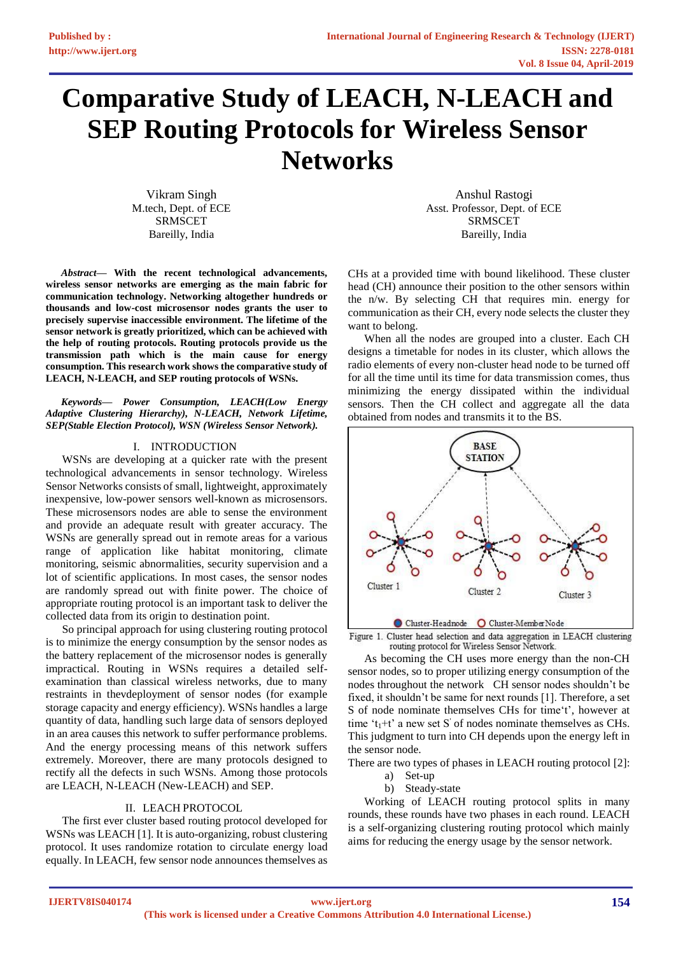# **Comparative Study of LEACH, N-LEACH and SEP Routing Protocols for Wireless Sensor Networks**

Vikram Singh M.tech, Dept. of ECE SRMSCET Bareilly, India

*Abstract***— With the recent technological advancements, wireless sensor networks are emerging as the main fabric for communication technology. Networking altogether hundreds or thousands and low-cost microsensor nodes grants the user to precisely supervise inaccessible environment. The lifetime of the sensor network is greatly prioritized, which can be achieved with the help of routing protocols. Routing protocols provide us the transmission path which is the main cause for energy consumption. This research work shows the comparative study of LEACH, N-LEACH, and SEP routing protocols of WSNs.**

*Keywords— Power Consumption, LEACH(Low Energy Adaptive Clustering Hierarchy), N-LEACH, Network Lifetime, SEP(Stable Election Protocol), WSN (Wireless Sensor Network).*

## I. INTRODUCTION

WSNs are developing at a quicker rate with the present technological advancements in sensor technology. Wireless Sensor Networks consists of small, lightweight, approximately inexpensive, low-power sensors well-known as microsensors. These microsensors nodes are able to sense the environment and provide an adequate result with greater accuracy. The WSNs are generally spread out in remote areas for a various range of application like habitat monitoring, climate monitoring, seismic abnormalities, security supervision and a lot of scientific applications. In most cases, the sensor nodes are randomly spread out with finite power. The choice of appropriate routing protocol is an important task to deliver the collected data from its origin to destination point.

So principal approach for using clustering routing protocol is to minimize the energy consumption by the sensor nodes as the battery replacement of the microsensor nodes is generally impractical. Routing in WSNs requires a detailed selfexamination than classical wireless networks, due to many restraints in thevdeployment of sensor nodes (for example storage capacity and energy efficiency). WSNs handles a large quantity of data, handling such large data of sensors deployed in an area causes this network to suffer performance problems. And the energy processing means of this network suffers extremely. Moreover, there are many protocols designed to rectify all the defects in such WSNs. Among those protocols are LEACH, N-LEACH (New-LEACH) and SEP.

## II. LEACH PROTOCOL

The first ever cluster based routing protocol developed for WSNs was LEACH [1]. It is auto-organizing, robust clustering protocol. It uses randomize rotation to circulate energy load equally. In LEACH, few sensor node announces themselves as

Anshul Rastogi Asst. Professor, Dept. of ECE SRMSCET Bareilly, India

CHs at a provided time with bound likelihood. These cluster head (CH) announce their position to the other sensors within the n/w. By selecting CH that requires min. energy for communication as their CH, every node selects the cluster they want to belong.

When all the nodes are grouped into a cluster. Each CH designs a timetable for nodes in its cluster, which allows the radio elements of every non-cluster head node to be turned off for all the time until its time for data transmission comes, thus minimizing the energy dissipated within the individual sensors. Then the CH collect and aggregate all the data obtained from nodes and transmits it to the BS.



Figure 1. Cluster head selection and data aggregation in LEACH clustering routing protocol for Wireless Sensor Network.

As becoming the CH uses more energy than the non-CH sensor nodes, so to proper utilizing energy consumption of the nodes throughout the network CH sensor nodes shouldn't be fixed, it shouldn't be same for next rounds [1]. Therefore, a set S of node nominate themselves CHs for time't', however at time ' $t_1$ +t' a new set S' of nodes nominate themselves as CHs. This judgment to turn into CH depends upon the energy left in the sensor node.

There are two types of phases in LEACH routing protocol [2]:

- a) Set-up
- b) Steady-state

Working of LEACH routing protocol splits in many rounds, these rounds have two phases in each round. LEACH is a self-organizing clustering routing protocol which mainly aims for reducing the energy usage by the sensor network.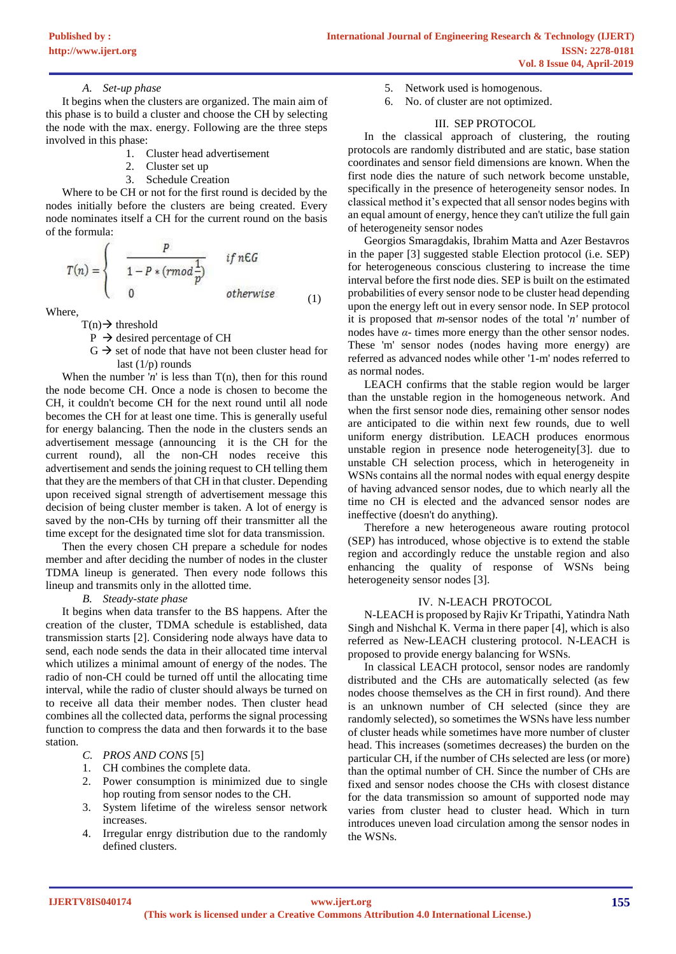# *A. Set-up phase*

It begins when the clusters are organized. The main aim of this phase is to build a cluster and choose the CH by selecting the node with the max. energy. Following are the three steps involved in this phase:

- 1. Cluster head advertisement
- 2. Cluster set up
- 3. Schedule Creation

Where to be CH or not for the first round is decided by the nodes initially before the clusters are being created. Every node nominates itself a CH for the current round on the basis of the formula:

$$
T(n) = \begin{cases} \frac{P}{1 - P * (rmod \frac{1}{p})} & if n \in G \\ 0 & otherwise \end{cases}
$$
 (1)

Where,

 $T(n) \rightarrow$  threshold

- $P \rightarrow$  desired percentage of CH
- $G \rightarrow$  set of node that have not been cluster head for last  $(1/p)$  rounds

When the number ' $n'$  is less than  $T(n)$ , then for this round the node become CH. Once a node is chosen to become the CH, it couldn't become CH for the next round until all node becomes the CH for at least one time. This is generally useful for energy balancing. Then the node in the clusters sends an advertisement message (announcing it is the CH for the current round), all the non-CH nodes receive this advertisement and sends the joining request to CH telling them that they are the members of that CH in that cluster. Depending upon received signal strength of advertisement message this decision of being cluster member is taken. A lot of energy is saved by the non-CHs by turning off their transmitter all the time except for the designated time slot for data transmission.

Then the every chosen CH prepare a schedule for nodes member and after deciding the number of nodes in the cluster TDMA lineup is generated. Then every node follows this lineup and transmits only in the allotted time.

# *B. Steady-state phase*

It begins when data transfer to the BS happens. After the creation of the cluster, TDMA schedule is established, data transmission starts [2]. Considering node always have data to send, each node sends the data in their allocated time interval which utilizes a minimal amount of energy of the nodes. The radio of non-CH could be turned off until the allocating time interval, while the radio of cluster should always be turned on to receive all data their member nodes. Then cluster head combines all the collected data, performs the signal processing function to compress the data and then forwards it to the base station.

- *C. PROS AND CONS* [5]
- 1. CH combines the complete data.
- 2. Power consumption is minimized due to single hop routing from sensor nodes to the CH.
- 3. System lifetime of the wireless sensor network increases.
- 4. Irregular enrgy distribution due to the randomly defined clusters.
- 5. Network used is homogenous.
- 6. No. of cluster are not optimized.

# III. SEP PROTOCOL

In the classical approach of clustering, the routing protocols are randomly distributed and are static, base station coordinates and sensor field dimensions are known. When the first node dies the nature of such network become unstable, specifically in the presence of heterogeneity sensor nodes. In classical method it's expected that all sensor nodes begins with an equal amount of energy, hence they can't utilize the full gain of heterogeneity sensor nodes

Georgios Smaragdakis, Ibrahim Matta and Azer Bestavros in the paper [3] suggested stable Election protocol (i.e. SEP) for heterogeneous conscious clustering to increase the time interval before the first node dies. SEP is built on the estimated probabilities of every sensor node to be cluster head depending upon the energy left out in every sensor node. In SEP protocol it is proposed that *m*-sensor nodes of the total '*n'* number of nodes have *α*- times more energy than the other sensor nodes. These 'm' sensor nodes (nodes having more energy) are referred as advanced nodes while other '1-m' nodes referred to as normal nodes.

LEACH confirms that the stable region would be larger than the unstable region in the homogeneous network. And when the first sensor node dies, remaining other sensor nodes are anticipated to die within next few rounds, due to well uniform energy distribution. LEACH produces enormous unstable region in presence node heterogeneity[3]. due to unstable CH selection process, which in heterogeneity in WSNs contains all the normal nodes with equal energy despite of having advanced sensor nodes, due to which nearly all the time no CH is elected and the advanced sensor nodes are ineffective (doesn't do anything).

Therefore a new heterogeneous aware routing protocol (SEP) has introduced, whose objective is to extend the stable region and accordingly reduce the unstable region and also enhancing the quality of response of WSNs being heterogeneity sensor nodes [3].

# IV. N-LEACH PROTOCOL

N-LEACH is proposed by Rajiv Kr Tripathi, Yatindra Nath Singh and Nishchal K. Verma in there paper [4], which is also referred as New-LEACH clustering protocol. N-LEACH is proposed to provide energy balancing for WSNs.

In classical LEACH protocol, sensor nodes are randomly distributed and the CHs are automatically selected (as few nodes choose themselves as the CH in first round). And there is an unknown number of CH selected (since they are randomly selected), so sometimes the WSNs have less number of cluster heads while sometimes have more number of cluster head. This increases (sometimes decreases) the burden on the particular CH, if the number of CHs selected are less (or more) than the optimal number of CH. Since the number of CHs are fixed and sensor nodes choose the CHs with closest distance for the data transmission so amount of supported node may varies from cluster head to cluster head. Which in turn introduces uneven load circulation among the sensor nodes in the WSNs.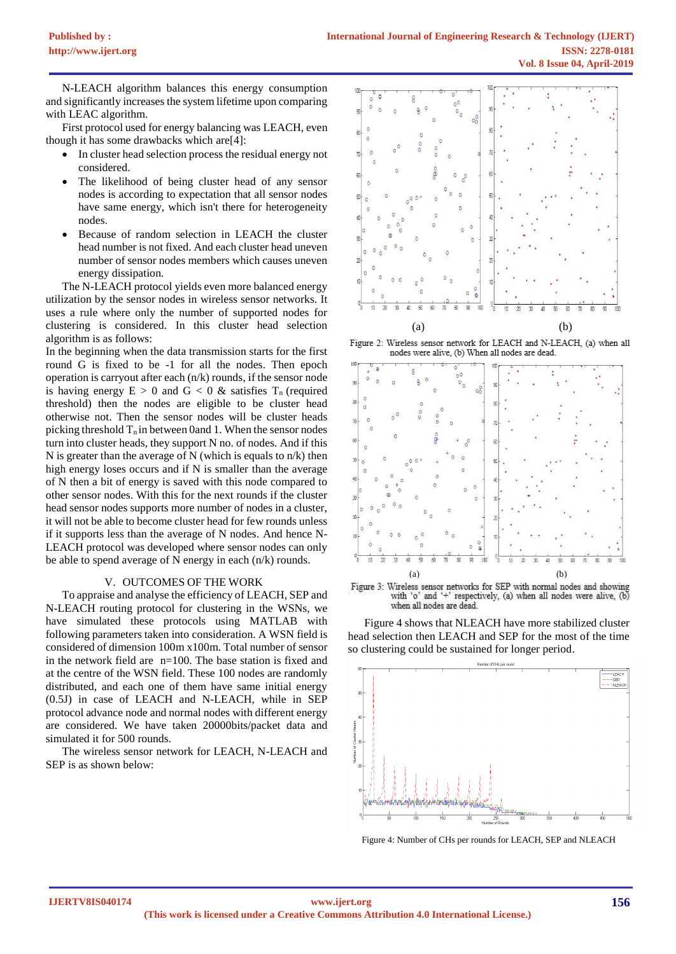N-LEACH algorithm balances this energy consumption and significantly increases the system lifetime upon comparing with LEAC algorithm.

First protocol used for energy balancing was LEACH, even though it has some drawbacks which are[4]:

- In cluster head selection process the residual energy not considered.
- The likelihood of being cluster head of any sensor nodes is according to expectation that all sensor nodes have same energy, which isn't there for heterogeneity nodes.
- Because of random selection in LEACH the cluster head number is not fixed. And each cluster head uneven number of sensor nodes members which causes uneven energy dissipation.

The N-LEACH protocol yields even more balanced energy utilization by the sensor nodes in wireless sensor networks. It uses a rule where only the number of supported nodes for clustering is considered. In this cluster head selection algorithm is as follows:

In the beginning when the data transmission starts for the first round G is fixed to be -1 for all the nodes. Then epoch operation is carryout after each (n/k) rounds, if the sensor node is having energy  $E > 0$  and  $G < 0$  & satisfies  $T_n$  (required threshold) then the nodes are eligible to be cluster head otherwise not. Then the sensor nodes will be cluster heads picking threshold  $T_n$  in between 0and 1. When the sensor nodes turn into cluster heads, they support N no. of nodes. And if this N is greater than the average of N (which is equals to  $n/k$ ) then high energy loses occurs and if N is smaller than the average of N then a bit of energy is saved with this node compared to other sensor nodes. With this for the next rounds if the cluster head sensor nodes supports more number of nodes in a cluster, it will not be able to become cluster head for few rounds unless if it supports less than the average of N nodes. And hence N-LEACH protocol was developed where sensor nodes can only be able to spend average of N energy in each (n/k) rounds.

# V. OUTCOMES OF THE WORK

To appraise and analyse the efficiency of LEACH, SEP and N-LEACH routing protocol for clustering in the WSNs, we have simulated these protocols using MATLAB with following parameters taken into consideration. A WSN field is considered of dimension 100m x100m. Total number of sensor in the network field are n=100. The base station is fixed and at the centre of the WSN field. These 100 nodes are randomly distributed, and each one of them have same initial energy (0.5J) in case of LEACH and N-LEACH, while in SEP protocol advance node and normal nodes with different energy are considered. We have taken 20000bits/packet data and simulated it for 500 rounds.

The wireless sensor network for LEACH, N-LEACH and SEP is as shown below:



Figure 2: Wireless sensor network for LEACH and N-LEACH, (a) when all nodes were alive, (b) When all nodes are dead.





Figure 4 shows that NLEACH have more stabilized cluster head selection then LEACH and SEP for the most of the time so clustering could be sustained for longer period.



Figure 4: Number of CHs per rounds for LEACH, SEP and NLEACH